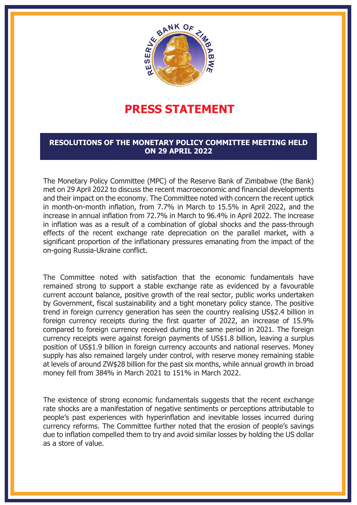

## **PRESS STATEMENT**

## **RESOLUTIONS OF THE MONETARY POLICY COMMITTEE MEETING HELD ON 29 APRIL 2022**

The Monetary Policy Committee (MPC) of the Reserve Bank of Zimbabwe (the Bank) met on 29 April 2022 to discuss the recent macroeconomic and financial developments and their impact on the economy. The Committee noted with concern the recent uptick in month-on-month inflation, from 7.7% in March to 15.5% in April 2022, and the increase in annual inflation from 72.7% in March to 96.4% in April 2022. The increase in inflation was as a result of a combination of global shocks and the pass-through effects of the recent exchange rate depreciation on the parallel market, with a significant proportion of the inflationary pressures emanating from the impact of the on-going Russia-Ukraine conflict.

The Committee noted with satisfaction that the economic fundamentals have remained strong to support a stable exchange rate as evidenced by a favourable current account balance, positive growth of the real sector, public works undertaken by Government, fiscal sustainability and a tight monetary policy stance. The positive trend in foreign currency generation has seen the country realising US\$2.4 billion in foreign currency receipts during the first quarter of 2022, an increase of 15.9% compared to foreign currency received during the same period in 2021. The foreign currency receipts were against foreign payments of US\$1.8 billion, leaving a surplus position of US\$1.9 billion in foreign currency accounts and national reserves. Money supply has also remained largely under control, with reserve money remaining stable at levels of around ZW\$28 billion for the past six months, while annual growth in broad money fell from 384% in March 2021 to 151% in March 2022.

The existence of strong economic fundamentals suggests that the recent exchange rate shocks are a manifestation of negative sentiments or perceptions attributable to people's past experiences with hyperinflation and inevitable losses incurred during currency reforms. The Committee further noted that the erosion of people's savings due to inflation compelled them to try and avoid similar losses by holding the US dollar as a store of value.